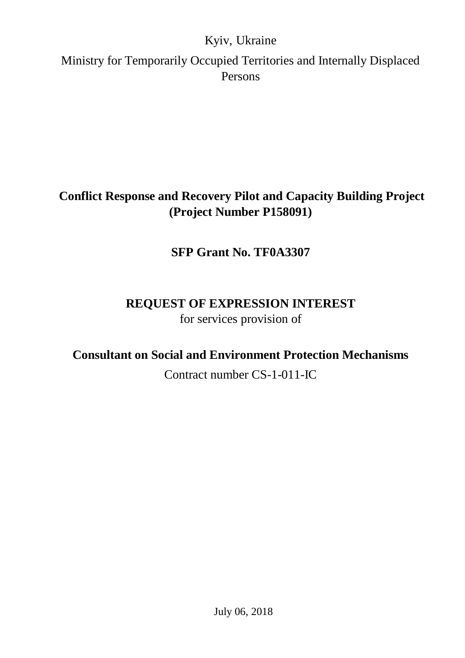## Kyiv, Ukraine

Ministry for Temporarily Occupied Territories and Internally Displaced Persons

## **Conflict Response and Recovery Pilot and Capacity Building Project (Project Number P158091)**

## **SFP Grant No. TF0A3307**

## **REQUEST OF EXPRESSION INTEREST** for services provision of

## **Consultant on Social and Environment Protection Mechanisms**

Contract number CS-1-011-IC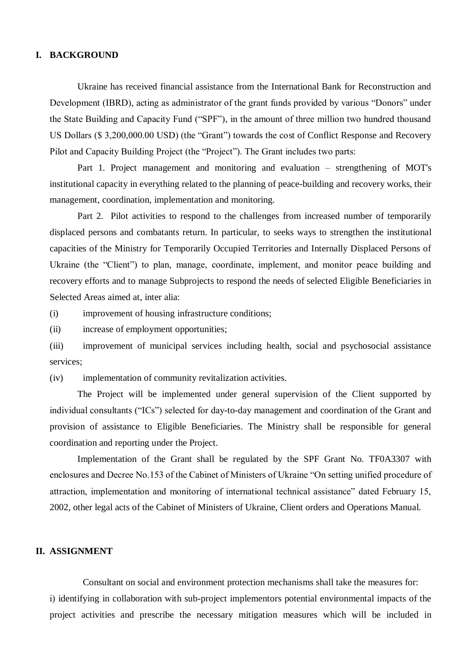### **I. BACKGROUND**

Ukraine has received financial assistance from the International Bank for Reconstruction and Development (IBRD), acting as administrator of the grant funds provided by various "Donors" under the State Building and Capacity Fund ("SPF"), in the amount of three million two hundred thousand US Dollars (\$ 3,200,000.00 USD) (the "Grant") towards the cost of Conflict Response and Recovery Pilot and Capacity Building Project (the "Project"). The Grant includes two parts:

Part 1. Project management and monitoring and evaluation – strengthening of MOT's institutional capacity in everything related to the planning of peace-building and recovery works, their management, coordination, implementation and monitoring.

Part 2. Pilot activities to respond to the challenges from increased number of temporarily displaced persons and combatants return. In particular, to seeks ways to strengthen the institutional capacities of the Ministry for Temporarily Occupied Territories and Internally Displaced Persons of Ukraine (the "Client") to plan, manage, coordinate, implement, and monitor peace building and recovery efforts and to manage Subprojects to respond the needs of selected Eligible Beneficiaries in Selected Areas aimed at, inter alia:

(i) improvement of housing infrastructure conditions;

(ii) increase of employment opportunities;

(iii) improvement of municipal services including health, social and psychosocial assistance services;

(iv) implementation of community revitalization activities.

The Project will be implemented under general supervision of the Client supported by individual consultants ("ICs") selected for day-to-day management and coordination of the Grant and provision of assistance to Eligible Beneficiaries. The Ministry shall be responsible for general coordination and reporting under the Project.

Implementation of the Grant shall be regulated by the SPF Grant No. TF0A3307 with enclosures and Decree No.153 of the Cabinet of Ministers of Ukraine "On setting unified procedure of attraction, implementation and monitoring of international technical assistance" dated February 15, 2002, other legal acts of the Cabinet of Ministers of Ukraine, Client orders and Operations Manual.

### **II. ASSIGNMENT**

Consultant on social and environment protection mechanisms shall take the measures for: і) identifying in collaboration with sub-project implementors potential environmental impacts of the project activities and prescribe the necessary mitigation measures which will be included in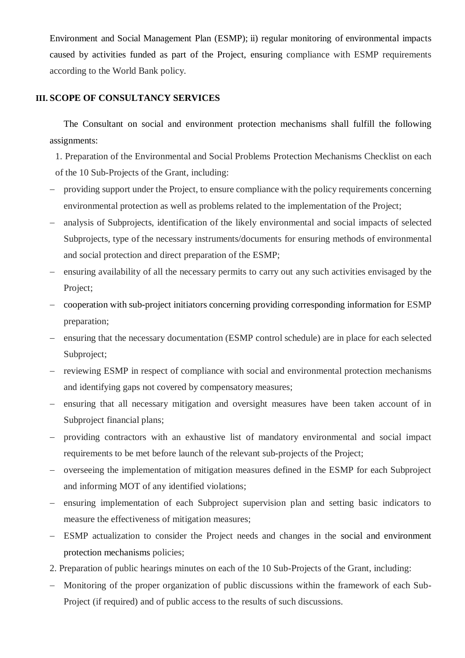Environment and Social Management Plan (ESMP); ii) regular monitoring of environmental impacts caused by activities funded as part of the Project, ensuring compliance with ESMP requirements according to the World Bank policy.

### **III. SCOPE OF CONSULTANCY SERVICES**

The Consultant on social and environment protection mechanisms shall fulfill the following assignments:

- 1. Preparation of the Environmental and Social Problems Protection Mechanisms Checklist on each of the 10 Sub-Projects of the Grant, including:
- providing support under the Project, to ensure compliance with the policy requirements concerning environmental protection as well as problems related to the implementation of the Project;
- analysis of Subprojects, identification of the likely environmental and social impacts of selected Subprojects, type of the necessary instruments/documents for ensuring methods of environmental and social protection and direct preparation of the ESMP;
- ensuring availability of all the necessary permits to carry out any such activities envisaged by the Project;
- cooperation with sub-project initiators concerning providing corresponding information for ESMP preparation;
- ensuring that the necessary documentation (ESMP control schedule) are in place for each selected Subproject;
- reviewing ESMP in respect of compliance with social and environmental protection mechanisms and identifying gaps not covered by compensatory measures;
- ensuring that all necessary mitigation and oversight measures have been taken account of in Subproject financial plans;
- providing contractors with an exhaustive list of mandatory environmental and social impact requirements to be met before launch of the relevant sub-projects of the Project;
- overseeing the implementation of mitigation measures defined in the ESMP for each Subproject and informing MOT of any identified violations;
- ensuring implementation of each Subproject supervision plan and setting basic indicators to measure the effectiveness of mitigation measures;
- ESMP actualization to consider the Project needs and changes in the social and environment protection mechanisms policies;
- 2. Preparation of public hearings minutes on each of the 10 Sub-Projects of the Grant, including:
- Monitoring of the proper organization of public discussions within the framework of each Sub-Project (if required) and of public access to the results of such discussions.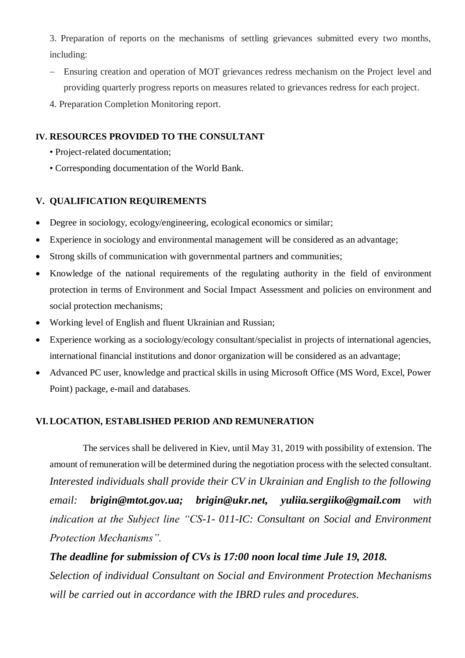3. Preparation of reports on the mechanisms of settling grievances submitted every two months, including:

- Ensuring creation and operation of MOT grievances redress mechanism on the Project level and providing quarterly progress reports on measures related to grievances redress for each project.
- 4. Preparation Completion Monitoring report.

### **IV. RESOURCES PROVIDED TO THE CONSULTANT**

- Project-related documentation;
- Corresponding documentation of the World Bank.

### **V. QUALIFICATION REQUIREMENTS**

- Degree in sociology, ecology/engineering, ecological economics or similar;
- Experience in sociology and environmental management will be considered as an advantage;
- Strong skills of communication with governmental partners and communities;
- Knowledge of the national requirements of the regulating authority in the field of environment protection in terms of Environment and Social Impact Assessment and policies on environment and social protection mechanisms;
- Working level of English and fluent Ukrainian and Russian;
- Experience working as a sociology/ecology consultant/specialist in projects of international agencies, international financial institutions and donor organization will be considered as an advantage;
- Advanced PC user, knowledge and practical skills in using Microsoft Office (MS Word, Excel, Power Point) package, e-mail and databases.

### **VI.LOCATION, ESTABLISHED PERIOD AND REMUNERATION**

The services shall be delivered in Kiev, until May 31, 2019 with possibility of extension. The amount of remuneration will be determined during the negotiation process with the selected consultant. *Interested individuals shall provide their CV in Ukrainian and English to the following email: brigin@mtot.gov.ua; brigin@ukr.net, yuliia.sergiiko@gmail.com with indication at the Subject line "CS-1- 011-IC: Consultant on Social and Environment Protection Mechanisms".* 

*The deadline for submission of CVs is 17:00 noon local time Jule 19, 2018. Selection of individual Consultant on Social and Environment Protection Mechanisms will be carried out in accordance with the IBRD rules and procedures.*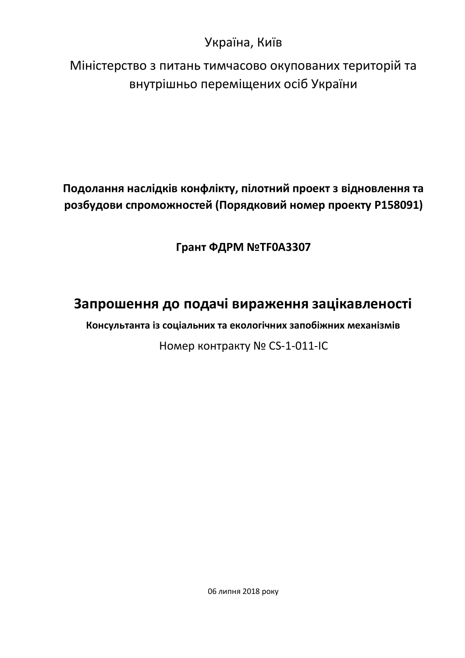## Україна, Київ

Міністерство з питань тимчасово окупованих територій та внутрішньо переміщених осіб України

**Подолання наслідків конфлікту, пілотний проект з відновлення та розбудови спроможностей (Порядковий номер проекту P158091)**

**Грант ФДРМ №TF0A3307**

# **Запрошення до подачі вираження зацікавленості**

**Консультанта із соціальних та екологічних запобіжних механізмів**

Номер контракту № CS-1-011-IC

06 липня 2018 року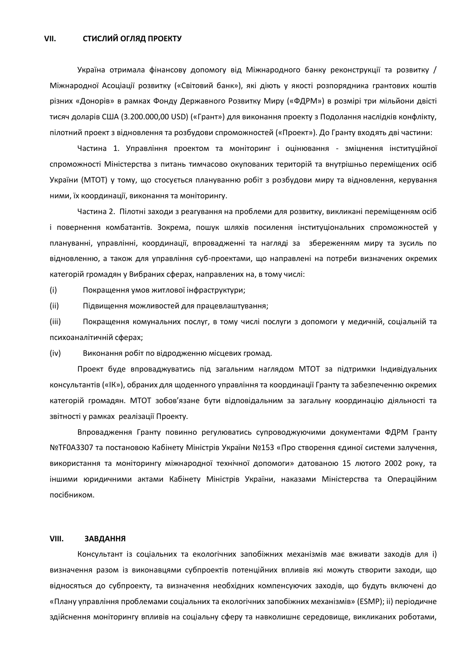Україна отримала фінансову допомогу від Міжнародного банку реконструкції та розвитку / Міжнародної Асоціації розвитку («Світовий банк»), які діють у якості розпорядника грантових коштів різних «Донорів» в рамках Фонду Державного Розвитку Миру («ФДРМ») в розмірі три мільйони двісті тисяч доларів США (3.200.000,00 USD) («Грант») для виконання проекту з Подолання наслідків конфлікту, пілотний проект з відновлення та розбудови спроможностей («Проект»). До Гранту входять дві частини:

Частина 1. Управління проектом та моніторинг і оцінювання - зміцнення інституційної спроможності Міністерства з питань тимчасово окупованих територій та внутрішньо переміщених осіб України (МТОТ) у тому, що стосується плануванню робіт з розбудови миру та відновлення, керування ними, їх координації, виконання та моніторингу.

Частина 2. Пілотні заходи з реагування на проблеми для розвитку, викликані переміщенням осіб і повернення комбатантів. Зокрема, пошук шляхів посилення інституціональних спроможностей у плануванні, управлінні, координації, впровадженні та нагляді за збереженням миру та зусиль по відновленню, а також для управління суб-проектами, що направлені на потреби визначених окремих категорій громадян у Вибраних сферах, направлених на, в тому числі:

(i) Покращення умов житлової інфраструктури;

(ii) Підвищення можливостей для працевлаштування;

(iii) Покращення комунальних послуг, в тому числі послуги з допомоги у медичній, соціальній та психоаналітичній сферах;

(iv) Виконання робіт по відродженню місцевих громад.

Проект буде впроваджуватись під загальним наглядом МТОТ за підтримки Індивідуальних консультантів («ІК»), обраних для щоденного управління та координації Гранту та забезпеченню окремих категорій громадян. МТОТ зобов'язане бути відповідальним за загальну координацію діяльності та звітності у рамках реалізації Проекту.

Впровадження Гранту повинно регулюватись супроводжуючими документами ФДРМ Гранту №ТF0A3307 та постановою Кабінету Міністрів України №153 «Про створення єдиної системи залучення, використання та моніторингу міжнародної технічної допомоги» датованою 15 лютого 2002 року, та іншими юридичними актами Кабінету Міністрів України, наказами Міністерства та Операційним посібником.

### **VIII. ЗАВДАННЯ**

Консультант із соціальних та екологічних запобіжних механізмів має вживати заходів для і) визначення разом із виконавцями субпроектів потенційних впливів які можуть створити заходи, що відносяться до субпроекту, та визначення необхідних компенсуючих заходів, що будуть включені до «Плану управління проблемами соціальних та екологічних запобіжних механізмів» (ESMP); іі) періодичне здійснення моніторингу впливів на соціальну сферу та навколишнє середовище, викликаних роботами,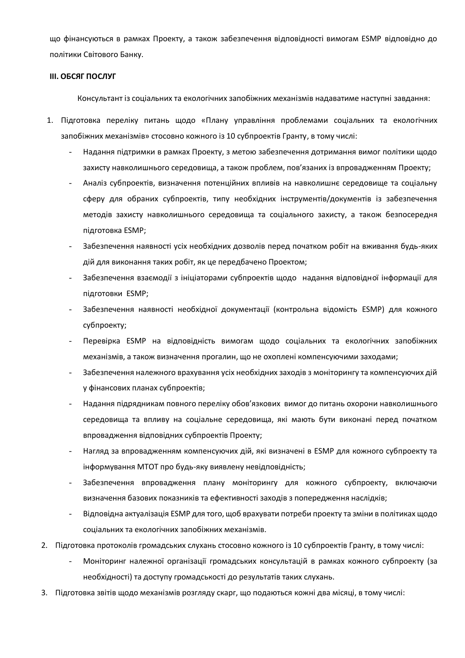що фінансуються в рамках Проекту, а також забезпечення відповідності вимогам ESMP відповідно до політики Світового Банку.

#### **ІІІ. ОБСЯГ ПОСЛУГ**

Консультант із соціальних та екологічних запобіжних механізмів надаватиме наступні завдання:

- 1. Підготовка переліку питань щодо «Плану управління проблемами соціальних та екологічних запобіжних механізмів» стосовно кожного із 10 субпроектів Гранту, в тому числі:
	- Надання підтримки в рамках Проекту, з метою забезпечення дотримання вимог політики щодо захисту навколишнього середовища, а також проблем, пов'язаних із впровадженням Проекту;
	- Аналіз субпроектів, визначення потенційних впливів на навколишнє середовище та соціальну сферу для обраних субпроектів, типу необхідних інструментів/документів із забезпечення методів захисту навколишнього середовища та соціального захисту, а також безпосередня підготовка ESMP;
	- Забезпечення наявності усіх необхідних дозволів перед початком робіт на вживання будь-яких дій для виконання таких робіт, як це передбачено Проектом;
	- Забезпечення взаємодії з ініціаторами субпроектів щодо надання відповідної інформації для підготовки ESMP;
	- Забезпечення наявності необхідної документації (контрольна відомість ESMP) для кожного субпроекту;
	- Перевірка ESMP на відповідність вимогам щодо соціальних та екологічних запобіжних механізмів, а також визначення прогалин, що не охоплені компенсуючими заходами;
	- Забезпечення належного врахування усіх необхідних заходів з моніторингу та компенсуючих дій у фінансових планах субпроектів;
	- Надання підрядникам повного переліку обов'язкових вимог до питань охорони навколишнього середовища та впливу на соціальне середовища, які мають бути виконані перед початком впровадження відповідних субпроектів Проекту;
	- Нагляд за впровадженням компенсуючих дій, які визначені в ESMP для кожного субпроекту та інформування МТОТ про будь-яку виявлену невідповідність;
	- Забезпечення впровадження плану моніторингу для кожного субпроекту, включаючи визначення базових показників та ефективності заходів з попередження наслідків;
	- Відповідна актуалізація ESMP для того, щоб врахувати потреби проекту та зміни в політиках щодо соціальних та екологічних запобіжних механізмів.
- 2. Підготовка протоколів громадських слухань стосовно кожного із 10 субпроектів Гранту, в тому числі:
	- Моніторинг належної організації громадських консультацій в рамках кожного субпроекту (за необхідності) та доступу громадськості до результатів таких слухань.
- 3. Підготовка звітів щодо механізмів розгляду скарг, що подаються кожні два місяці, в тому числі: